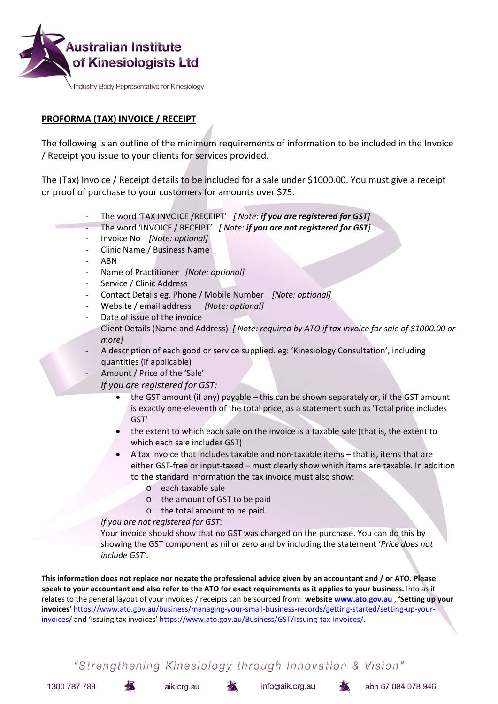

## **PROFORMA (TAX) INVOICE / RECEIPT**

The following is an outline of the minimum requirements of information to be included in the Invoice / Receipt you issue to your clients for services provided.

The (Tax) Invoice / Receipt details to be included for a sale under \$1000.00. You must give a receipt or proof of purchase to your customers for amounts over \$75.

- The word 'TAX INVOICE /RECEIPT' *[ Note: if you are registered for GST]*
- The word 'INVOICE / RECEIPT' *[ Note: if you are not registered for GST]*
- Invoice No *[Note: optional]*
- Clinic Name / Business Name
- ABN
- Name of Practitioner *[Note: optional]*
- Service / Clinic Address
- Contact Details eg. Phone / Mobile Number *[Note: optional]*
- Website / email address *[Note: optional]*
- Date of issue of the invoice
- Client Details (Name and Address) *[ Note: required by ATO if tax invoice for sale of \$1000.00 or more]*
- A description of each good or service supplied. eg: 'Kinesiology Consultation', including quantities (if applicable)
- Amount / Price of the 'Sale'

*If you are registered for GST:*

- the GST amount (if any) payable this can be shown separately or, if the GST amount is exactly one-eleventh of the total price, as a statement such as 'Total price includes GST'
- the extent to which each sale on the invoice is a taxable sale (that is, the extent to which each sale includes GST)
- A tax invoice that includes taxable and non-taxable items that is, items that are either GST-free or input-taxed – must clearly show which items are taxable. In addition to the standard information the tax invoice must also show:
	- o each taxable sale
	- o the amount of GST to be paid
	- o the total amount to be paid.

*If you are not registered for GST*:

Your invoice should show that no GST was charged on the purchase. You can do this by showing the GST component as nil or zero and by including the statement '*Price does not include GST'.*

**This information does not replace nor negate the professional advice given by an accountant and / or ATO. Please speak to your accountant and also refer to the ATO for exact requirements as it applies to your business.** Info as it relates to the general layout of your invoices / receipts can be sourced from: **website www.ato.gov.au** , **'Setting up your invoices'** https://www.ato.gov.au/business/managing-your-small-business-records/getting-started/setting-up-yourinvoices/ and 'Issuing tax invoices' https://www.ato.gov.au/Business/GST/Issuing-tax-invoices/.

"Strengthening Kinesiology through Innovation & Vision"

1300 787 788

aik.org.au



info@aik.org.au

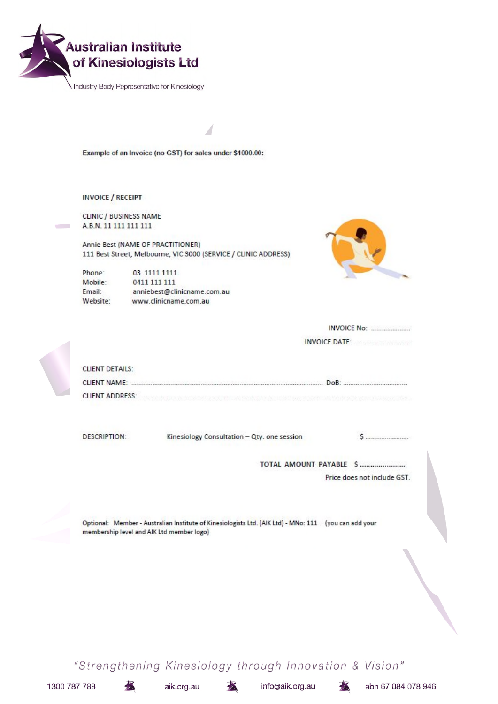

Industry Body Representative for Kinesiology

Example of an Invoice (no GST) for sales under \$1000.00:

**INVOICE / RECEIPT** 

**CLINIC / BUSINESS NAME** A.B.N. 11 111 111 111

Annie Best (NAME OF PRACTITIONER) 111 Best Street, Melbourne, VIC 3000 (SERVICE / CLINIC ADDRESS)

Phone: 03 1111 1111 Mobile: 0411 111 111 Email: anniebest@clinicname.com.au Website: www.clinicname.com.au



| <b>CLIENT DETAILS:</b>                    |                                                                                                       |                             |
|-------------------------------------------|-------------------------------------------------------------------------------------------------------|-----------------------------|
|                                           | CLIENT NAME: <b>All According to the CLIENT NAME:</b> CLIENT NAME:                                    |                             |
|                                           |                                                                                                       |                             |
| <b>DESCRIPTION:</b>                       | Kinesiology Consultation - Qty. one session                                                           |                             |
|                                           |                                                                                                       | TOTAL AMOUNT PAYABLE \$     |
|                                           |                                                                                                       | Price does not include GST. |
|                                           |                                                                                                       |                             |
| membership level and AIK Ltd member logo) | Optional: Member - Australian Institute of Kinesiologists Ltd. (AIK Ltd) - MNo: 111 (you can add your |                             |
|                                           |                                                                                                       |                             |
|                                           |                                                                                                       |                             |
|                                           |                                                                                                       |                             |

"Strengthening Kinesiology through Innovation & Vision"

1300 787 788

aik.org.au

水

info@aik.org.au



abn 67 084 078 946